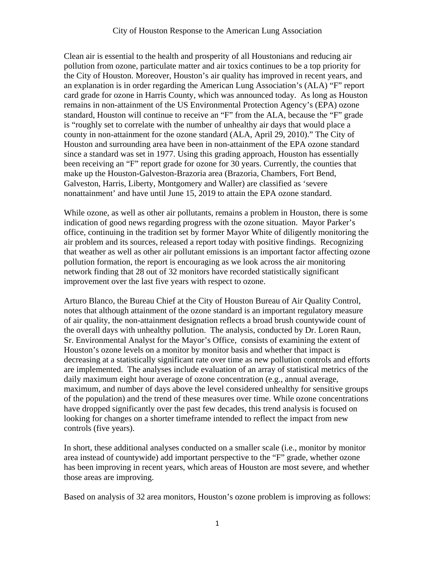## City of Houston Response to the American Lung Association

Clean air is essential to the health and prosperity of all Houstonians and reducing air pollution from ozone, particulate matter and air toxics continues to be a top priority for the City of Houston. Moreover, Houston's air quality has improved in recent years, and an explanation is in order regarding the American Lung Association's (ALA) "F" report card grade for ozone in Harris County, which was announced today. As long as Houston remains in non-attainment of the US Environmental Protection Agency's (EPA) ozone standard, Houston will continue to receive an "F" from the ALA, because the "F" grade is "roughly set to correlate with the number of unhealthy air days that would place a county in non-attainment for the ozone standard (ALA, April 29, 2010)." The City of Houston and surrounding area have been in non-attainment of the EPA ozone standard since a standard was set in 1977. Using this grading approach, Houston has essentially been receiving an "F" report grade for ozone for 30 years. Currently, the counties that make up the Houston-Galveston-Brazoria area (Brazoria, Chambers, Fort Bend, Galveston, Harris, Liberty, Montgomery and Waller) are classified as 'severe nonattainment' and have until June 15, 2019 to attain the EPA ozone standard.

While ozone, as well as other air pollutants, remains a problem in Houston, there is some indication of good news regarding progress with the ozone situation. Mayor Parker's office, continuing in the tradition set by former Mayor White of diligently monitoring the air problem and its sources, released a report today with positive findings. Recognizing that weather as well as other air pollutant emissions is an important factor affecting ozone pollution formation, the report is encouraging as we look across the air monitoring network finding that 28 out of 32 monitors have recorded statistically significant improvement over the last five years with respect to ozone.

Arturo Blanco, the Bureau Chief at the City of Houston Bureau of Air Quality Control, notes that although attainment of the ozone standard is an important regulatory measure of air quality, the non-attainment designation reflects a broad brush countywide count of the overall days with unhealthy pollution. The analysis, conducted by Dr. Loren Raun, Sr. Environmental Analyst for the Mayor's Office, consists of examining the extent of Houston's ozone levels on a monitor by monitor basis and whether that impact is decreasing at a statistically significant rate over time as new pollution controls and efforts are implemented. The analyses include evaluation of an array of statistical metrics of the daily maximum eight hour average of ozone concentration (e.g., annual average, maximum, and number of days above the level considered unhealthy for sensitive groups of the population) and the trend of these measures over time. While ozone concentrations have dropped significantly over the past few decades, this trend analysis is focused on looking for changes on a shorter timeframe intended to reflect the impact from new controls (five years).

In short, these additional analyses conducted on a smaller scale (i.e., monitor by monitor area instead of countywide) add important perspective to the "F" grade, whether ozone has been improving in recent years, which areas of Houston are most severe, and whether those areas are improving.

Based on analysis of 32 area monitors, Houston's ozone problem is improving as follows: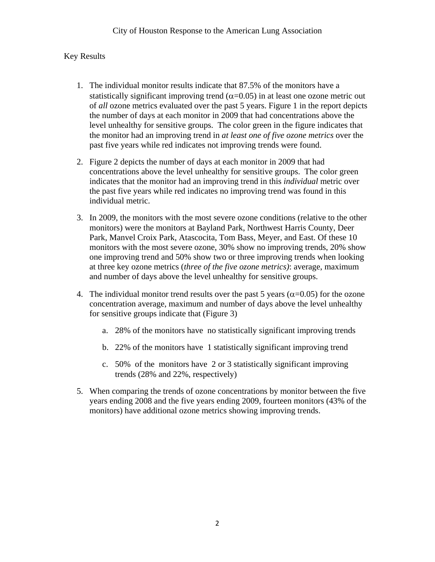## Key Results

- 1. The individual monitor results indicate that 87.5% of the monitors have a statistically significant improving trend  $(\alpha=0.05)$  in at least one ozone metric out of *all* ozone metrics evaluated over the past 5 years. Figure 1 in the report depicts the number of days at each monitor in 2009 that had concentrations above the level unhealthy for sensitive groups. The color green in the figure indicates that the monitor had an improving trend in *at least one of five ozone metrics* over the past five years while red indicates not improving trends were found.
- 2. Figure 2 depicts the number of days at each monitor in 2009 that had concentrations above the level unhealthy for sensitive groups. The color green indicates that the monitor had an improving trend in this *individual* metric over the past five years while red indicates no improving trend was found in this individual metric.
- 3. In 2009, the monitors with the most severe ozone conditions (relative to the other monitors) were the monitors at Bayland Park, Northwest Harris County, Deer Park, Manvel Croix Park, Atascocita, Tom Bass, Meyer, and East. Of these 10 monitors with the most severe ozone, 30% show no improving trends, 20% show one improving trend and 50% show two or three improving trends when looking at three key ozone metrics (*three of the five ozone metrics)*: average, maximum and number of days above the level unhealthy for sensitive groups.
- 4. The individual monitor trend results over the past 5 years ( $\alpha$ =0.05) for the ozone concentration average, maximum and number of days above the level unhealthy for sensitive groups indicate that (Figure 3)
	- a. 28% of the monitors have no statistically significant improving trends
	- b. 22% of the monitors have 1 statistically significant improving trend
	- c. 50% of the monitors have 2 or 3 statistically significant improving trends (28% and 22%, respectively)
- 5. When comparing the trends of ozone concentrations by monitor between the five years ending 2008 and the five years ending 2009, fourteen monitors (43% of the monitors) have additional ozone metrics showing improving trends.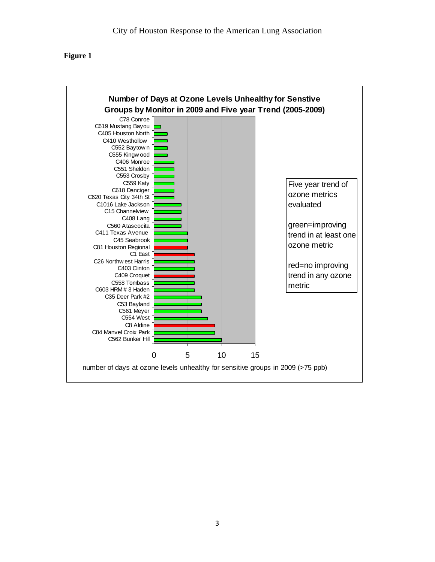## **Figure 1**

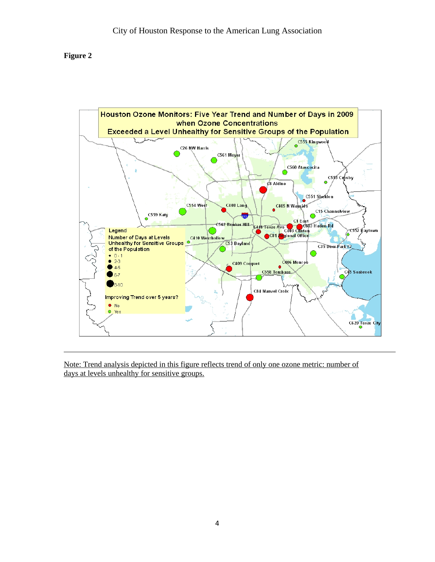## **Figure 2**



Note: Trend analysis depicted in this figure reflects trend of only one ozone metric: number of days at levels unhealthy for sensitive groups.